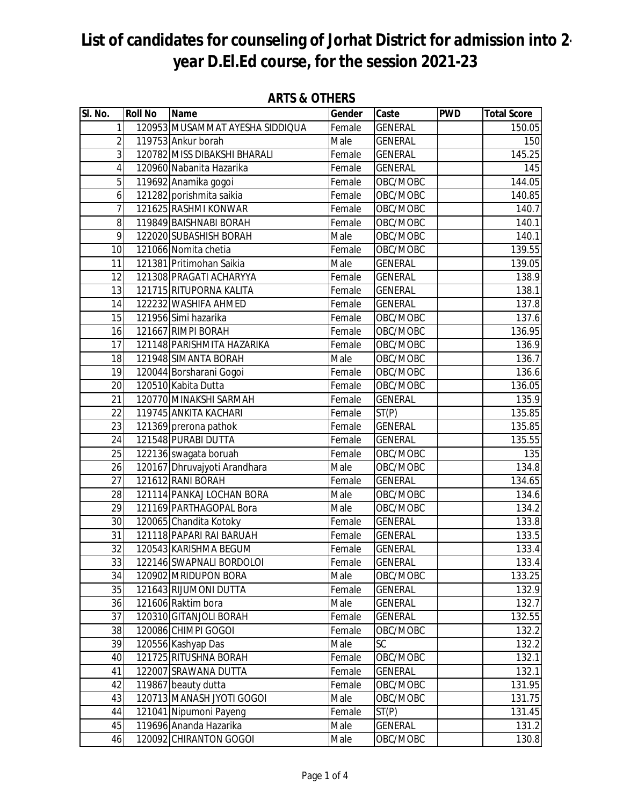| SI. No.         | <b>Roll No</b> | <b>Name</b>                                       | Gender           | Caste                            | <b>PWD</b> | <b>Total Score</b> |
|-----------------|----------------|---------------------------------------------------|------------------|----------------------------------|------------|--------------------|
| 1               |                | 120953 MUSAMMAT AYESHA SIDDIQUA                   | Female           | <b>GENERAL</b>                   |            | 150.05             |
| $\overline{2}$  |                | 119753 Ankur borah                                | Male             | <b>GENERAL</b>                   |            | 150                |
| $\overline{3}$  |                | 120782 MISS DIBAKSHI BHARALI                      | Female           | <b>GENERAL</b>                   |            | 145.25             |
| 4               |                | 120960 Nabanita Hazarika                          | Female           | <b>GENERAL</b>                   |            | 145                |
| 5               |                | 119692 Anamika gogoi                              | Female           | OBC/MOBC                         |            | 144.05             |
| 6               |                | 121282 porishmita saikia                          | Female           | OBC/MOBC                         |            | 140.85             |
| $\overline{1}$  |                | 121625 RASHMI KONWAR                              | Female           | OBC/MOBC                         |            | 140.7              |
| 8               |                | 119849 BAISHNABI BORAH                            | Female           | OBC/MOBC                         |            | 140.1              |
| 9               |                | 122020 SUBASHISH BORAH                            | Male             | OBC/MOBC                         |            | 140.1              |
| 10              |                | 121066 Nomita chetia                              | Female           | OBC/MOBC                         |            | 139.55             |
| 11              |                | 121381 Pritimohan Saikia                          | Male             | <b>GENERAL</b>                   |            | 139.05             |
| 12              |                | 121308 PRAGATI ACHARYYA                           | Female           | <b>GENERAL</b>                   |            | 138.9              |
| 13              |                | 121715 RITUPORNA KALITA                           | Female           | <b>GENERAL</b>                   |            | 138.1              |
| 14              |                | 122232 WASHIFA AHMED                              | Female           | <b>GENERAL</b>                   |            | 137.8              |
| 15              |                | 121956 Simi hazarika                              | Female           | OBC/MOBC                         |            | 137.6              |
| 16              |                | 121667 RIMPI BORAH                                | Female           | OBC/MOBC                         |            | 136.95             |
| 17              |                | 121148 PARISHMITA HAZARIKA                        | Female           | OBC/MOBC                         |            | 136.9              |
| 18              |                | 121948 SIMANTA BORAH                              | Male             | OBC/MOBC                         |            | 136.7              |
| 19              |                | 120044 Borsharani Gogoi                           | Female           | OBC/MOBC                         |            | 136.6              |
| $\overline{20}$ |                | 120510 Kabita Dutta                               | Female           | OBC/MOBC                         |            | 136.05             |
| 21              |                | 120770 MINAKSHI SARMAH                            | Female           | <b>GENERAL</b>                   |            | 135.9              |
| 22              |                | 119745 ANKITA KACHARI                             | Female           | ST(P)                            |            | 135.85             |
| 23              |                | 121369 prerona pathok                             | Female           | <b>GENERAL</b>                   |            | 135.85             |
| 24              |                | 121548 PURABI DUTTA                               | Female           | <b>GENERAL</b>                   |            | 135.55             |
| 25              |                | 122136 swagata boruah                             | Female           | OBC/MOBC                         |            | 135                |
| 26              |                | 120167 Dhruvajyoti Arandhara                      | Male             | OBC/MOBC                         |            | 134.8              |
| 27              |                | 121612 RANI BORAH                                 | Female           | <b>GENERAL</b>                   |            | 134.65             |
| 28              |                | 121114 PANKAJ LOCHAN BORA                         | Male             | OBC/MOBC                         |            | 134.6              |
| $\overline{29}$ |                | 121169 PARTHAGOPAL Bora                           | Male             | OBC/MOBC                         |            | 134.2              |
| 30              |                | 120065 Chandita Kotoky                            | Female           | <b>GENERAL</b>                   |            | 133.8              |
| 31              |                | 121118 PAPARI RAI BARUAH                          | Female           | <b>GENERAL</b>                   |            | 133.5              |
| 32<br>33        |                | 120543 KARISHMA BEGUM<br>122146 SWAPNALI BORDOLOI | Female<br>Female | <b>GENERAL</b><br><b>GENERAL</b> |            | 133.4<br>133.4     |
| 34              |                | 120902 MRIDUPON BORA                              | Male             | OBC/MOBC                         |            | 133.25             |
| 35              |                | 121643 RIJUMONI DUTTA                             | Female           | <b>GENERAL</b>                   |            | 132.9              |
| 36              |                | 121606 Raktim bora                                | Male             | GENERAL                          |            | 132.7              |
| 37              |                | 120310 GITANJOLI BORAH                            | Female           | <b>GENERAL</b>                   |            | 132.55             |
| 38              |                | 120086 CHIMPI GOGOI                               | Female           | OBC/MOBC                         |            | 132.2              |
| 39              |                | 120556 Kashyap Das                                | Male             | SC                               |            | 132.2              |
| 40              |                | 121725 RITUSHNA BORAH                             | Female           | OBC/MOBC                         |            | 132.1              |
| 41              |                | 122007 SRAWANA DUTTA                              | Female           | GENERAL                          |            | 132.1              |
| 42              |                | 119867 beauty dutta                               | Female           | OBC/MOBC                         |            | 131.95             |
| 43              |                | 120713 MANASH JYOTI GOGOI                         | Male             | OBC/MOBC                         |            | 131.75             |
| 44              |                | 121041 Nipumoni Payeng                            | Female           | ST(P)                            |            | 131.45             |
| 45              |                | 119696 Ananda Hazarika                            | Male             | <b>GENERAL</b>                   |            | 131.2              |
| 46              |                | 120092 CHIRANTON GOGOI                            | Male             | OBC/MOBC                         |            | 130.8              |

#### **ARTS & OTHERS**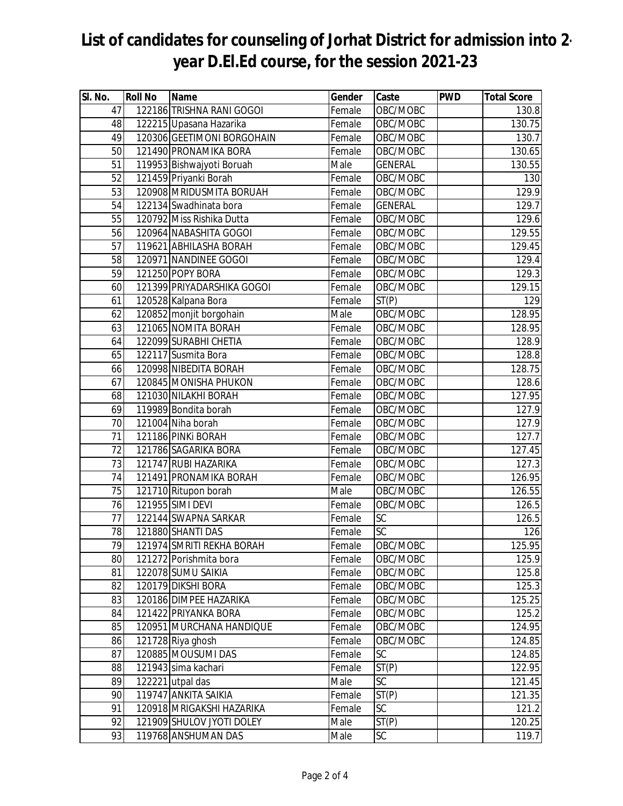| SI. No.         | <b>Roll No</b> | <b>Name</b>                | Gender | Caste          | <b>PWD</b> | <b>Total Score</b> |
|-----------------|----------------|----------------------------|--------|----------------|------------|--------------------|
| 47              |                | 122186 TRISHNA RANI GOGOI  | Female | OBC/MOBC       |            | 130.8              |
| 48              |                | 122215 Upasana Hazarika    | Female | OBC/MOBC       |            | 130.75             |
| 49              |                | 120306 GEETIMONI BORGOHAIN | Female | OBC/MOBC       |            | 130.7              |
| 50              |                | 121490 PRONAMIKA BORA      | Female | OBC/MOBC       |            | 130.65             |
| 51              |                | 119953 Bishwajyoti Boruah  | Male   | <b>GENERAL</b> |            | 130.55             |
| $\overline{52}$ |                | 121459 Priyanki Borah      | Female | OBC/MOBC       |            | 130                |
| 53              |                | 120908 MRIDUSMITA BORUAH   | Female | OBC/MOBC       |            | 129.9              |
| 54              |                | 122134 Swadhinata bora     | Female | <b>GENERAL</b> |            | 129.7              |
| 55              |                | 120792 Miss Rishika Dutta  | Female | OBC/MOBC       |            | 129.6              |
| 56              |                | 120964 NABASHITA GOGOI     | Female | OBC/MOBC       |            | 129.55             |
| 57              |                | 119621 ABHILASHA BORAH     | Female | OBC/MOBC       |            | 129.45             |
| 58              |                | 120971 NANDINEE GOGOI      | Female | OBC/MOBC       |            | 129.4              |
| 59              |                | 121250 POPY BORA           | Female | OBC/MOBC       |            | 129.3              |
| 60              |                | 121399 PRIYADARSHIKA GOGOI | Female | OBC/MOBC       |            | 129.15             |
| 61              |                | 120528 Kalpana Bora        | Female | ST(P)          |            | 129                |
| 62              |                | 120852 monjit borgohain    | Male   | OBC/MOBC       |            | 128.95             |
| 63              |                | 121065 NOMITA BORAH        | Female | OBC/MOBC       |            | 128.95             |
| 64              |                | 122099 SURABHI CHETIA      | Female | OBC/MOBC       |            | 128.9              |
| 65              |                | 122117 Susmita Bora        | Female | OBC/MOBC       |            | 128.8              |
| 66              |                | 120998 NIBEDITA BORAH      | Female | OBC/MOBC       |            | 128.75             |
| 67              |                | 120845 MONISHA PHUKON      | Female | OBC/MOBC       |            | 128.6              |
| 68              |                | 121030 NILAKHI BORAH       | Female | OBC/MOBC       |            | 127.95             |
| 69              |                | 119989 Bondita borah       | Female | OBC/MOBC       |            | 127.9              |
| 70              |                | 121004 Niha borah          | Female | OBC/MOBC       |            | 127.9              |
| 71              |                | 121186 PINKI BORAH         | Female | OBC/MOBC       |            | 127.7              |
| $\overline{72}$ |                | 121786 SAGARIKA BORA       | Female | OBC/MOBC       |            | 127.45             |
| 73              |                | 121747 RUBI HAZARIKA       | Female | OBC/MOBC       |            | 127.3              |
| 74              |                | 121491 PRONAMIKA BORAH     | Female | OBC/MOBC       |            | 126.95             |
| 75              |                | 121710 Ritupon borah       | Male   | OBC/MOBC       |            | 126.55             |
| 76              |                | 121955 SIMI DEVI           | Female | OBC/MOBC       |            | 126.5              |
| $\overline{77}$ |                | 122144 SWAPNA SARKAR       | Female | SC             |            | 126.5              |
| 78              |                | 121880 SHANTI DAS          | Female | SC             |            | 126                |
| 79              |                | 121974 SMRITI REKHA BORAH  | Female | OBC/MOBC       |            | 125.95             |
| 80              |                | 121272 Porishmita bora     | Female | OBC/MOBC       |            | 125.9              |
| 81              |                | 122078 SUMU SAIKIA         | Female | OBC/MOBC       |            | 125.8              |
| 82              |                | 120179 DIKSHI BORA         | Female | OBC/MOBC       |            | 125.3              |
| 83              |                | 120186 DIMPEE HAZARIKA     | Female | OBC/MOBC       |            | 125.25             |
| 84              |                | 121422 PRIYANKA BORA       | Female | OBC/MOBC       |            | 125.2              |
| 85              |                | 120951 MURCHANA HANDIQUE   | Female | OBC/MOBC       |            | 124.95             |
| 86              |                | 121728 Riya ghosh          | Female | OBC/MOBC       |            | 124.85             |
| 87              |                | 120885 MOUSUMI DAS         | Female | <b>SC</b>      |            | 124.85             |
| 88              |                | 121943 sima kachari        | Female | ST(P)          |            | 122.95             |
| 89              |                | 122221 utpal das           | Male   | SC             |            | 121.45             |
| 90              |                | 119747 ANKITA SAIKIA       | Female | ST(P)          |            | 121.35             |
| 91              |                | 120918 MRIGAKSHI HAZARIKA  | Female | SC             |            | 121.2              |
| 92              |                | 121909 SHULOV JYOTI DOLEY  | Male   | ST(P)          |            | 120.25             |
| 93              |                | 119768 ANSHUMAN DAS        | Male   | SC             |            | 119.7              |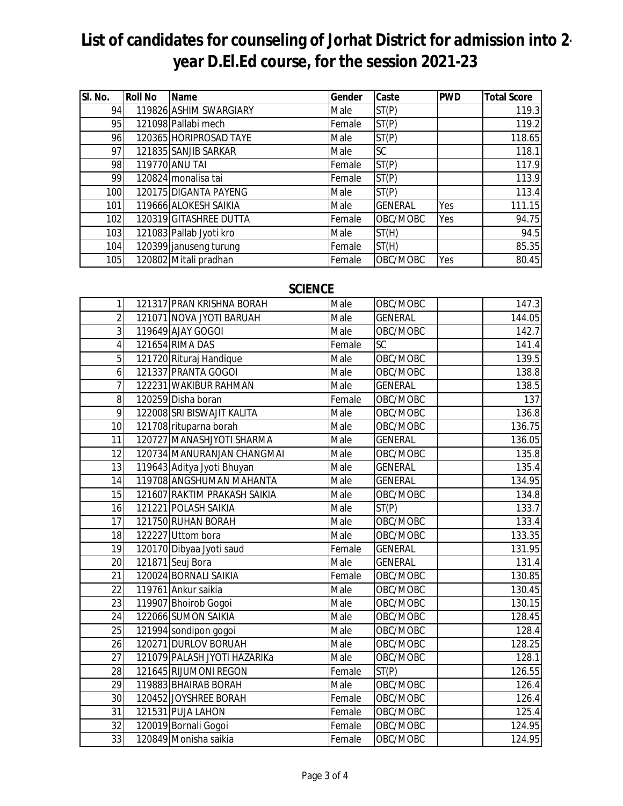| SI. No. | <b>Roll No</b> | Name                    | Gender | Caste          | <b>PWD</b> | <b>Total Score</b> |
|---------|----------------|-------------------------|--------|----------------|------------|--------------------|
| 94      |                | 119826 ASHIM SWARGIARY  | Male   | ST(P)          |            | 119.3              |
| 95      |                | 121098 Pallabi mech     | Female | ST(P)          |            | 119.2              |
| 96      |                | 120365 HORIPROSAD TAYE  | Male   | ST(P)          |            | 118.65             |
| 97      |                | 121835 SANJIB SARKAR    | Male   | SC             |            | 118.1              |
| 98      |                | 119770 ANU TAI          | Female | ST(P)          |            | 117.9              |
| 99      |                | 120824 monalisa tai     | Female | ST(P)          |            | 113.9              |
| 100     |                | 120175 DIGANTA PAYENG   | Male   | ST(P)          |            | 113.4              |
| 101     |                | 119666 ALOKESH SAIKIA   | Male   | <b>GENERAL</b> | Yes        | 111.15             |
| 102     |                | 120319 GITASHREE DUTTA  | Female | OBC/MOBC       | Yes        | 94.75              |
| 103     |                | 121083 Pallab Jyoti kro | Male   | ST(H)          |            | 94.5               |
| 104     |                | 120399 januseng turung  | Female | ST(H)          |            | 85.35              |
| 105     |                | 120802 Mitali pradhan   | Female | OBC/MOBC       | Yes        | 80.45              |

#### **SCIENCE**

| $\mathbf{1}$    | 121317 PRAN KRISHNA BORAH    | Male   | OBC/MOBC       | 147.3  |
|-----------------|------------------------------|--------|----------------|--------|
| $\overline{2}$  | 121071 NOVA JYOTI BARUAH     | Male   | <b>GENERAL</b> | 144.05 |
| 3               | 119649 AJAY GOGOI            | Male   | OBC/MOBC       | 142.7  |
| $\overline{4}$  | 121654 RIMA DAS              | Female | <b>SC</b>      | 141.4  |
| $\overline{5}$  | 121720 Rituraj Handique      | Male   | OBC/MOBC       | 139.5  |
| 6               | 121337 PRANTA GOGOI          | Male   | OBC/MOBC       | 138.8  |
| $\overline{7}$  | 122231 WAKIBUR RAHMAN        | Male   | <b>GENERAL</b> | 138.5  |
| 8               | 120259 Disha boran           | Female | OBC/MOBC       | 137    |
| 9               | 122008 SRI BISWAJIT KALITA   | Male   | OBC/MOBC       | 136.8  |
| 10              | 121708 rituparna borah       | Male   | OBC/MOBC       | 136.75 |
| 11              | 120727 MANASHJYOTI SHARMA    | Male   | <b>GENERAL</b> | 136.05 |
| 12              | 120734 MANURANJAN CHANGMAI   | Male   | OBC/MOBC       | 135.8  |
| 13              | 119643 Aditya Jyoti Bhuyan   | Male   | <b>GENERAL</b> | 135.4  |
| 14              | 119708 ANGSHUMAN MAHANTA     | Male   | <b>GENERAL</b> | 134.95 |
| 15              | 121607 RAKTIM PRAKASH SAIKIA | Male   | OBC/MOBC       | 134.8  |
| 16              | 121221 POLASH SAIKIA         | Male   | ST(P)          | 133.7  |
| 17              | 121750 RUHAN BORAH           | Male   | OBC/MOBC       | 133.4  |
| 18              | 122227 Uttom bora            | Male   | OBC/MOBC       | 133.35 |
| 19              | 120170 Dibyaa Jyoti saud     | Female | <b>GENERAL</b> | 131.95 |
| 20              | 121871 Seuj Bora             | Male   | <b>GENERAL</b> | 131.4  |
| 21              | 120024 BORNALI SAIKIA        | Female | OBC/MOBC       | 130.85 |
| 22              | 119761 Ankur saikia          | Male   | OBC/MOBC       | 130.45 |
| $\overline{23}$ | 119907 Bhoirob Gogoi         | Male   | OBC/MOBC       | 130.15 |
| 24              | 122066 SUMON SAIKIA          | Male   | OBC/MOBC       | 128.45 |
| 25              | 121994 sondipon gogoi        | Male   | OBC/MOBC       | 128.4  |
| 26              | 120271 DURLOV BORUAH         | Male   | OBC/MOBC       | 128.25 |
| 27              | 121079 PALASH JYOTI HAZARIKa | Male   | OBC/MOBC       | 128.1  |
| 28              | 121645 RIJUMONI REGON        | Female | ST(P)          | 126.55 |
| 29              | 119883 BHAIRAB BORAH         | Male   | OBC/MOBC       | 126.4  |
| 30              | 120452 JOYSHREE BORAH        | Female | OBC/MOBC       | 126.4  |
| $\overline{31}$ | 121531 PUJA LAHON            | Female | OBC/MOBC       | 125.4  |
| 32              | 120019 Bornali Gogoi         | Female | OBC/MOBC       | 124.95 |
| 33              | 120849 Monisha saikia        | Female | OBC/MOBC       | 124.95 |